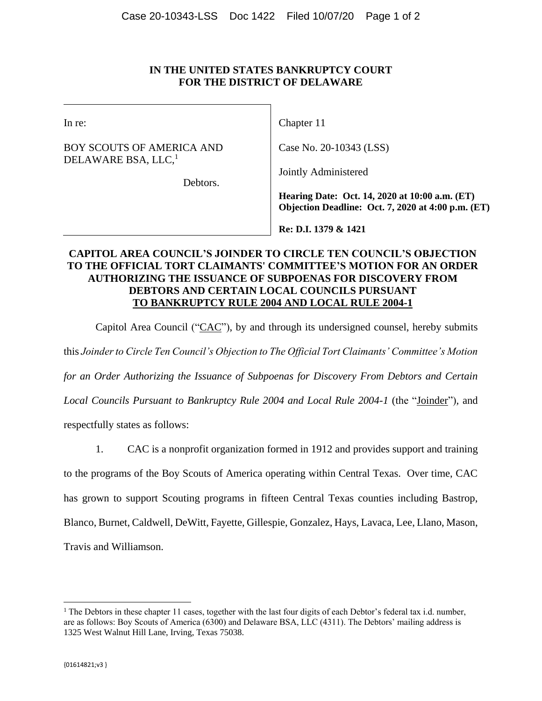#### **IN THE UNITED STATES BANKRUPTCY COURT FOR THE DISTRICT OF DELAWARE**

| ۰.<br>۰<br>× |
|--------------|
|              |

BOY SCOUTS OF AMERICA AND DELAWARE BSA, LLC, 1

Chapter 11

Case No. 20-10343 (LSS)

Jointly Administered

Debtors.

**Hearing Date: Oct. 14, 2020 at 10:00 a.m. (ET) Objection Deadline: Oct. 7, 2020 at 4:00 p.m. (ET)**

**Re: D.I. 1379 & 1421**

### **CAPITOL AREA COUNCIL'S JOINDER TO CIRCLE TEN COUNCIL'S OBJECTION TO THE OFFICIAL TORT CLAIMANTS' COMMITTEE'S MOTION FOR AN ORDER AUTHORIZING THE ISSUANCE OF SUBPOENAS FOR DISCOVERY FROM DEBTORS AND CERTAIN LOCAL COUNCILS PURSUANT TO BANKRUPTCY RULE 2004 AND LOCAL RULE 2004-1**

Capitol Area Council (" $CAC$ "), by and through its undersigned counsel, hereby submits

this *Joinder to Circle Ten Council's Objection to The Official Tort Claimants' Committee's Motion* 

*for an Order Authorizing the Issuance of Subpoenas for Discovery From Debtors and Certain* 

*Local Councils Pursuant to Bankruptcy Rule 2004 and Local Rule 2004-1* (the "Joinder")*,* and

respectfully states as follows:

1. CAC is a nonprofit organization formed in 1912 and provides support and training to the programs of the Boy Scouts of America operating within Central Texas. Over time, CAC has grown to support Scouting programs in fifteen Central Texas counties including Bastrop, Blanco, Burnet, Caldwell, DeWitt, Fayette, Gillespie, Gonzalez, Hays, Lavaca, Lee, Llano, Mason, Travis and Williamson.

 $\overline{\phantom{a}}$ 

<sup>&</sup>lt;sup>1</sup> The Debtors in these chapter 11 cases, together with the last four digits of each Debtor's federal tax i.d. number, are as follows: Boy Scouts of America (6300) and Delaware BSA, LLC (4311). The Debtors' mailing address is 1325 West Walnut Hill Lane, Irving, Texas 75038.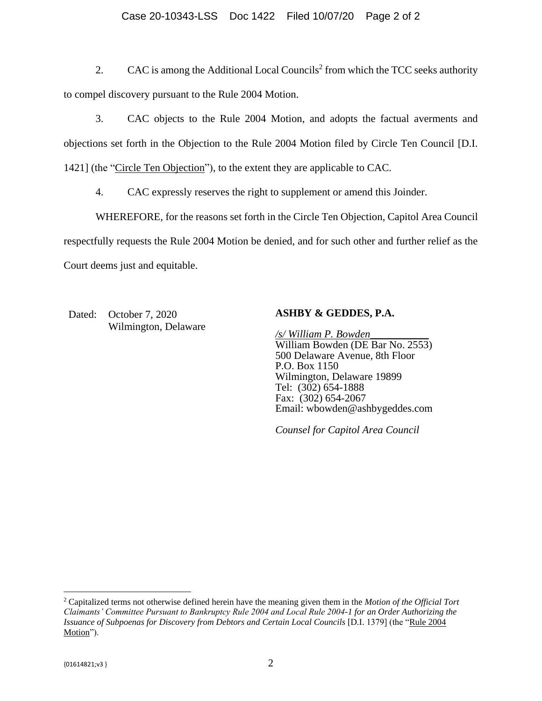#### Case 20-10343-LSS Doc 1422 Filed 10/07/20 Page 2 of 2

2. CAC is among the Additional Local Councils<sup>2</sup> from which the TCC seeks authority to compel discovery pursuant to the Rule 2004 Motion.

3. CAC objects to the Rule 2004 Motion, and adopts the factual averments and objections set forth in the Objection to the Rule 2004 Motion filed by Circle Ten Council [D.I. 1421] (the "Circle Ten Objection"), to the extent they are applicable to CAC.

4. CAC expressly reserves the right to supplement or amend this Joinder.

WHEREFORE, for the reasons set forth in the Circle Ten Objection, Capitol Area Council respectfully requests the Rule 2004 Motion be denied, and for such other and further relief as the Court deems just and equitable.

Dated: October 7, 2020 Wilmington, Delaware

#### **ASHBY & GEDDES, P.A.**

*/s/ William P. Bowden\_\_\_\_\_\_\_\_\_\_\_s* William Bowden (DE Bar No. 2553) 500 Delaware Avenue, 8th Floor P.O. Box 1150 Wilmington, Delaware 19899 Tel: (302) 654-1888 Fax: (302) 654-2067 Email: [wbowden@ashbygeddes.com](mailto:wbowden@ashbygeddes.com)

*Counsel for Capitol Area Council*

 $\overline{\phantom{a}}$ 

<sup>2</sup> Capitalized terms not otherwise defined herein have the meaning given them in the *Motion of the Official Tort Claimants' Committee Pursuant to Bankruptcy Rule 2004 and Local Rule 2004-1 for an Order Authorizing the Issuance of Subpoenas for Discovery from Debtors and Certain Local Councils* [D.I. 1379] (the "Rule 2004 Motion").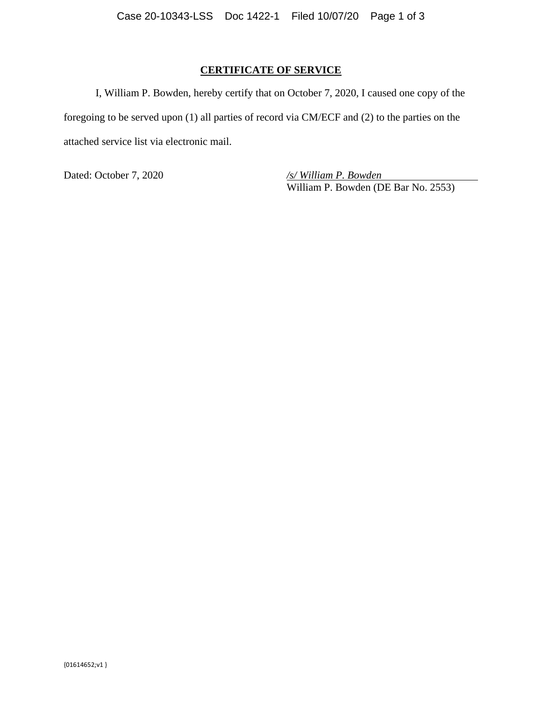## **CERTIFICATE OF SERVICE**

I, William P. Bowden, hereby certify that on October 7, 2020, I caused one copy of the foregoing to be served upon (1) all parties of record via CM/ECF and (2) to the parties on the attached service list via electronic mail.

Dated: October 7, 2020 */s/ William P. Bowden*

William P. Bowden (DE Bar No. 2553)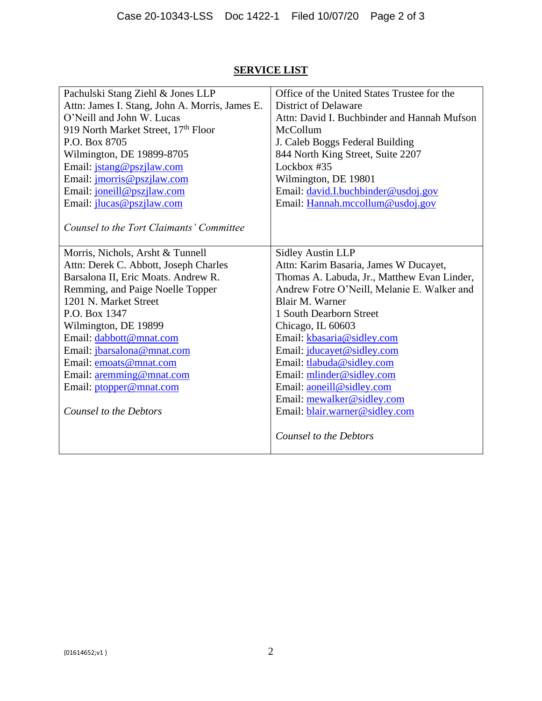# **SERVICE LIST**

| Pachulski Stang Ziehl & Jones LLP              | Office of the United States Trustee for the |
|------------------------------------------------|---------------------------------------------|
| Attn: James I. Stang, John A. Morris, James E. | <b>District of Delaware</b>                 |
| O'Neill and John W. Lucas                      | Attn: David I. Buchbinder and Hannah Mufson |
| 919 North Market Street, 17th Floor            | McCollum                                    |
| P.O. Box 8705                                  | J. Caleb Boggs Federal Building             |
| Wilmington, DE 19899-8705                      | 844 North King Street, Suite 2207           |
| Email: jstang@pszjlaw.com                      | Lockbox #35                                 |
| Email: <i>jmorris@pszjlaw.com</i>              | Wilmington, DE 19801                        |
| Email: joneill@pszjlaw.com                     | Email: david.I.buchbinder@usdoj.gov         |
| Email: <i>jlucas@pszjlaw.com</i>               | Email: Hannah.mccollum@usdoj.gov            |
|                                                |                                             |
| Counsel to the Tort Claimants' Committee       |                                             |
|                                                |                                             |
| Morris, Nichols, Arsht & Tunnell               | <b>Sidley Austin LLP</b>                    |
| Attn: Derek C. Abbott, Joseph Charles          | Attn: Karim Basaria, James W Ducayet,       |
| Barsalona II, Eric Moats. Andrew R.            | Thomas A. Labuda, Jr., Matthew Evan Linder, |
| Remming, and Paige Noelle Topper               | Andrew Fotre O'Neill, Melanie E. Walker and |
| 1201 N. Market Street                          | Blair M. Warner                             |
| P.O. Box 1347                                  | 1 South Dearborn Street                     |
| Wilmington, DE 19899                           | Chicago, IL 60603                           |
| Email: dabbott@mnat.com                        | Email: kbasaria@sidley.com                  |
| Email: jbarsalona@mnat.com                     | Email: jducayet@sidley.com                  |
| Email: emoats@mnat.com                         | Email: tlabuda@sidley.com                   |
| Email: aremming@mnat.com                       | Email: mlinder@sidley.com                   |
| Email: ptopper@mnat.com                        | Email: aoneill@sidley.com                   |
|                                                | Email: mewalker@sidley.com                  |
| Counsel to the Debtors                         | Email: blair.warner@sidley.com              |
|                                                |                                             |
|                                                | Counsel to the Debtors                      |
|                                                |                                             |